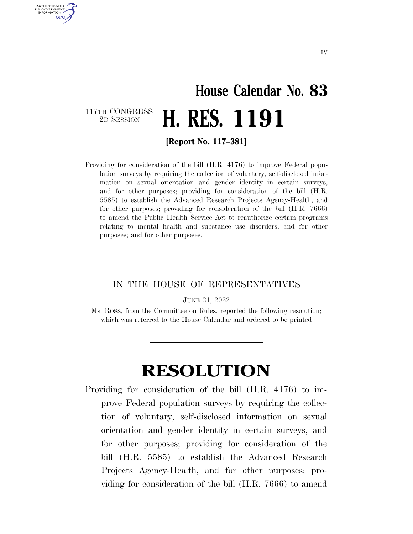## **House Calendar No. 83**  117TH CONGRESS<br>2D SESSION 2D SESSION **H. RES. 1191**

AUTHENTICATED U.S. GOVERNMENT **GPO** 

**[Report No. 117–381]** 

Providing for consideration of the bill (H.R. 4176) to improve Federal population surveys by requiring the collection of voluntary, self-disclosed information on sexual orientation and gender identity in certain surveys, and for other purposes; providing for consideration of the bill (H.R. 5585) to establish the Advanced Research Projects Agency-Health, and for other purposes; providing for consideration of the bill (H.R. 7666) to amend the Public Health Service Act to reauthorize certain programs relating to mental health and substance use disorders, and for other purposes; and for other purposes.

## IN THE HOUSE OF REPRESENTATIVES

JUNE 21, 2022

Ms. ROSS, from the Committee on Rules, reported the following resolution; which was referred to the House Calendar and ordered to be printed

## **RESOLUTION**

Providing for consideration of the bill (H.R. 4176) to improve Federal population surveys by requiring the collection of voluntary, self-disclosed information on sexual orientation and gender identity in certain surveys, and for other purposes; providing for consideration of the bill (H.R. 5585) to establish the Advanced Research Projects Agency-Health, and for other purposes; providing for consideration of the bill (H.R. 7666) to amend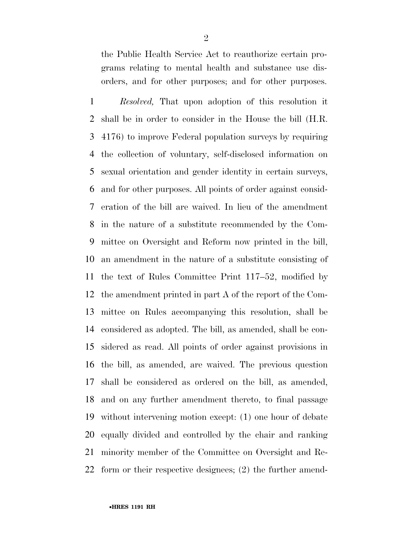the Public Health Service Act to reauthorize certain programs relating to mental health and substance use disorders, and for other purposes; and for other purposes.

 *Resolved,* That upon adoption of this resolution it shall be in order to consider in the House the bill (H.R. 4176) to improve Federal population surveys by requiring the collection of voluntary, self-disclosed information on sexual orientation and gender identity in certain surveys, and for other purposes. All points of order against consid- eration of the bill are waived. In lieu of the amendment in the nature of a substitute recommended by the Com- mittee on Oversight and Reform now printed in the bill, an amendment in the nature of a substitute consisting of the text of Rules Committee Print 117–52, modified by the amendment printed in part A of the report of the Com- mittee on Rules accompanying this resolution, shall be considered as adopted. The bill, as amended, shall be con- sidered as read. All points of order against provisions in the bill, as amended, are waived. The previous question shall be considered as ordered on the bill, as amended, and on any further amendment thereto, to final passage without intervening motion except: (1) one hour of debate equally divided and controlled by the chair and ranking minority member of the Committee on Oversight and Re-form or their respective designees; (2) the further amend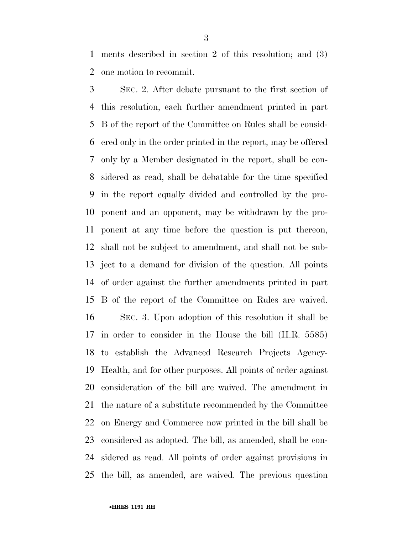ments described in section 2 of this resolution; and (3) one motion to recommit.

 SEC. 2. After debate pursuant to the first section of this resolution, each further amendment printed in part B of the report of the Committee on Rules shall be consid- ered only in the order printed in the report, may be offered only by a Member designated in the report, shall be con- sidered as read, shall be debatable for the time specified in the report equally divided and controlled by the pro- ponent and an opponent, may be withdrawn by the pro- ponent at any time before the question is put thereon, shall not be subject to amendment, and shall not be sub- ject to a demand for division of the question. All points of order against the further amendments printed in part B of the report of the Committee on Rules are waived. SEC. 3. Upon adoption of this resolution it shall be in order to consider in the House the bill (H.R. 5585) to establish the Advanced Research Projects Agency- Health, and for other purposes. All points of order against consideration of the bill are waived. The amendment in the nature of a substitute recommended by the Committee on Energy and Commerce now printed in the bill shall be considered as adopted. The bill, as amended, shall be con- sidered as read. All points of order against provisions in the bill, as amended, are waived. The previous question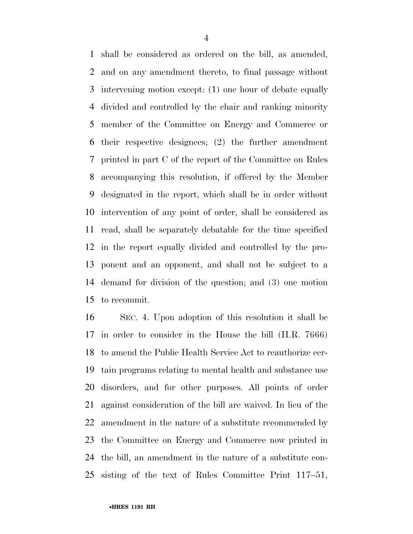shall be considered as ordered on the bill, as amended, and on any amendment thereto, to final passage without intervening motion except: (1) one hour of debate equally divided and controlled by the chair and ranking minority member of the Committee on Energy and Commerce or their respective designees; (2) the further amendment printed in part C of the report of the Committee on Rules accompanying this resolution, if offered by the Member designated in the report, which shall be in order without intervention of any point of order, shall be considered as read, shall be separately debatable for the time specified in the report equally divided and controlled by the pro- ponent and an opponent, and shall not be subject to a demand for division of the question; and (3) one motion to recommit.

 SEC. 4. Upon adoption of this resolution it shall be in order to consider in the House the bill (H.R. 7666) to amend the Public Health Service Act to reauthorize cer- tain programs relating to mental health and substance use disorders, and for other purposes. All points of order against consideration of the bill are waived. In lieu of the amendment in the nature of a substitute recommended by the Committee on Energy and Commerce now printed in the bill, an amendment in the nature of a substitute con-sisting of the text of Rules Committee Print 117–51,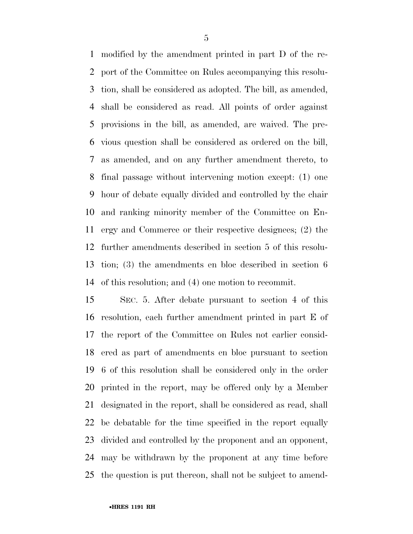modified by the amendment printed in part D of the re- port of the Committee on Rules accompanying this resolu- tion, shall be considered as adopted. The bill, as amended, shall be considered as read. All points of order against provisions in the bill, as amended, are waived. The pre- vious question shall be considered as ordered on the bill, as amended, and on any further amendment thereto, to final passage without intervening motion except: (1) one hour of debate equally divided and controlled by the chair and ranking minority member of the Committee on En- ergy and Commerce or their respective designees; (2) the further amendments described in section 5 of this resolu- tion; (3) the amendments en bloc described in section 6 of this resolution; and (4) one motion to recommit.

 SEC. 5. After debate pursuant to section 4 of this resolution, each further amendment printed in part E of the report of the Committee on Rules not earlier consid- ered as part of amendments en bloc pursuant to section 6 of this resolution shall be considered only in the order printed in the report, may be offered only by a Member designated in the report, shall be considered as read, shall be debatable for the time specified in the report equally divided and controlled by the proponent and an opponent, may be withdrawn by the proponent at any time before the question is put thereon, shall not be subject to amend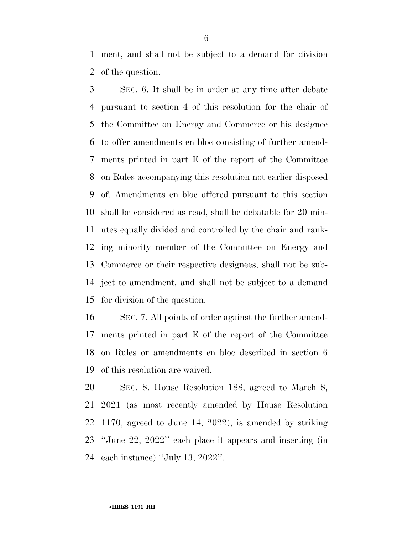ment, and shall not be subject to a demand for division of the question.

 SEC. 6. It shall be in order at any time after debate pursuant to section 4 of this resolution for the chair of the Committee on Energy and Commerce or his designee to offer amendments en bloc consisting of further amend- ments printed in part E of the report of the Committee on Rules accompanying this resolution not earlier disposed of. Amendments en bloc offered pursuant to this section shall be considered as read, shall be debatable for 20 min- utes equally divided and controlled by the chair and rank- ing minority member of the Committee on Energy and Commerce or their respective designees, shall not be sub- ject to amendment, and shall not be subject to a demand for division of the question.

 SEC. 7. All points of order against the further amend- ments printed in part E of the report of the Committee on Rules or amendments en bloc described in section 6 of this resolution are waived.

 SEC. 8. House Resolution 188, agreed to March 8, 2021 (as most recently amended by House Resolution 1170, agreed to June 14, 2022), is amended by striking ''June 22, 2022'' each place it appears and inserting (in each instance) ''July 13, 2022''.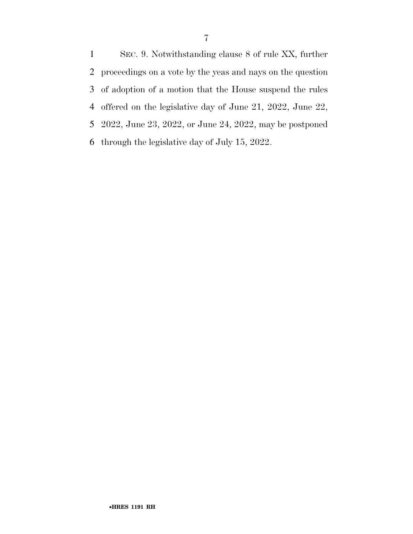SEC. 9. Notwithstanding clause 8 of rule XX, further proceedings on a vote by the yeas and nays on the question of adoption of a motion that the House suspend the rules offered on the legislative day of June 21, 2022, June 22, 2022, June 23, 2022, or June 24, 2022, may be postponed through the legislative day of July 15, 2022.